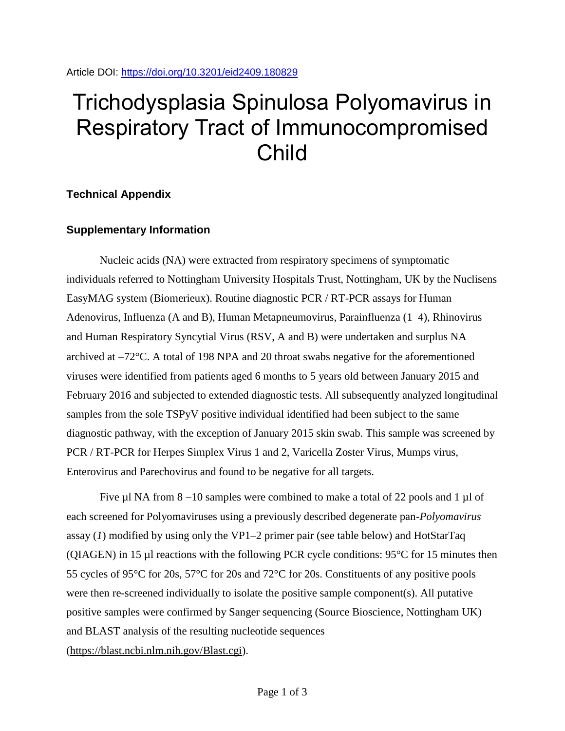# Trichodysplasia Spinulosa Polyomavirus in Respiratory Tract of Immunocompromised Child

## **Technical Appendix**

## **Supplementary Information**

Nucleic acids (NA) were extracted from respiratory specimens of symptomatic individuals referred to Nottingham University Hospitals Trust, Nottingham, UK by the Nuclisens EasyMAG system (Biomerieux). Routine diagnostic PCR / RT-PCR assays for Human Adenovirus, Influenza (A and B), Human Metapneumovirus, Parainfluenza (1–4), Rhinovirus and Human Respiratory Syncytial Virus (RSV, A and B) were undertaken and surplus NA archived at  $-72^{\circ}$ C. A total of 198 NPA and 20 throat swabs negative for the aforementioned viruses were identified from patients aged 6 months to 5 years old between January 2015 and February 2016 and subjected to extended diagnostic tests. All subsequently analyzed longitudinal samples from the sole TSPyV positive individual identified had been subject to the same diagnostic pathway, with the exception of January 2015 skin swab. This sample was screened by PCR / RT-PCR for Herpes Simplex Virus 1 and 2, Varicella Zoster Virus, Mumps virus, Enterovirus and Parechovirus and found to be negative for all targets.

Five  $\mu$ l NA from 8 –10 samples were combined to make a total of 22 pools and 1  $\mu$ l of each screened for Polyomaviruses using a previously described degenerate pan-*Polyomavirus* assay (*1*) modified by using only the VP1–2 primer pair (see table below) and HotStarTaq (QIAGEN) in 15  $\mu$ l reactions with the following PCR cycle conditions: 95 $\degree$ C for 15 minutes then 55 cycles of 95°C for 20s, 57°C for 20s and 72°C for 20s. Constituents of any positive pools were then re-screened individually to isolate the positive sample component(s). All putative positive samples were confirmed by Sanger sequencing (Source Bioscience, Nottingham UK) and BLAST analysis of the resulting nucleotide sequences (https://blast.ncbi.nlm.nih.gov/Blast.cgi).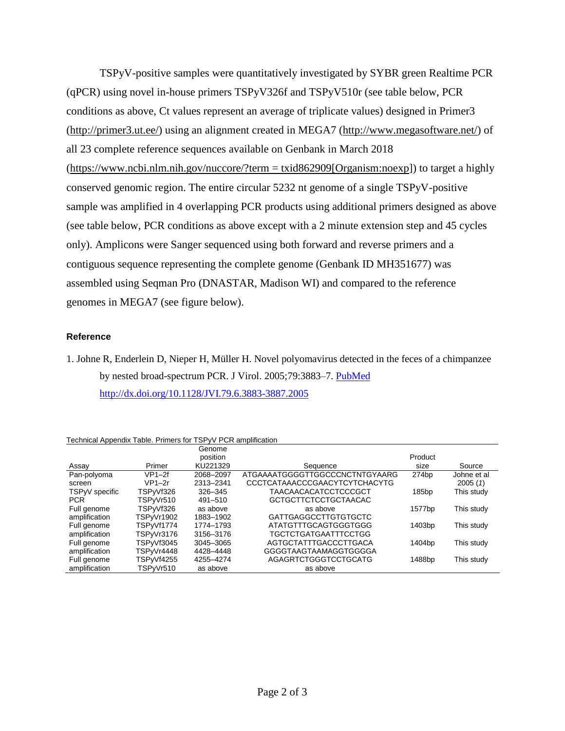TSPyV-positive samples were quantitatively investigated by SYBR green Realtime PCR (qPCR) using novel in-house primers TSPyV326f and TSPyV510r (see table below, PCR conditions as above, Ct values represent an average of triplicate values) designed in Primer3 (http://primer3.ut.ee/) using an alignment created in MEGA7 (http://www.megasoftware.net/) of all 23 complete reference sequences available on Genbank in March 2018 (https://www.ncbi.nlm.nih.gov/nuccore/?term = txid862909[Organism:noexp]) to target a highly conserved genomic region. The entire circular 5232 nt genome of a single TSPyV-positive sample was amplified in 4 overlapping PCR products using additional primers designed as above (see table below, PCR conditions as above except with a 2 minute extension step and 45 cycles only). Amplicons were Sanger sequenced using both forward and reverse primers and a contiguous sequence representing the complete genome (Genbank ID MH351677) was assembled using Seqman Pro (DNASTAR, Madison WI) and compared to the reference genomes in MEGA7 (see figure below).

#### **Reference**

1. Johne R, Enderlein D, Nieper H, Müller H. Novel polyomavirus detected in the feces of a chimpanzee by nested broad-spectrum PCR. J Virol. 2005;79:3883–7. [PubMed](https://www.ncbi.nlm.nih.gov/entrez/query.fcgi?cmd=Retrieve&db=PubMed&list_uids=15731285&dopt=Abstract) <http://dx.doi.org/10.1128/JVI.79.6.3883-3887.2005>

#### Technical Appendix Table. Primers for TSPyV PCR amplification

|                |            | Genome    |                                |                   |             |
|----------------|------------|-----------|--------------------------------|-------------------|-------------|
|                |            | position  |                                | Product           |             |
| Assay          | Primer     | KU221329  | Sequence                       | size              | Source      |
| Pan-polyoma    | $VP1-2f$   | 2068-2097 | ATGAAAATGGGGTTGGCCCNCTNTGYAARG | 274 <sub>bp</sub> | Johne et al |
| screen         | $VP1-2r$   | 2313-2341 | CCCTCATAAACCCGAACYTCYTCHACYTG  |                   | 2005(1)     |
| TSPyV specific | TSPyVf326  | 326-345   | TAACAACACATCCTCCCGCT           | 185 <sub>bp</sub> | This study  |
| <b>PCR</b>     | TSPyVr510  | 491-510   | <b>GCTGCTTCTCCTGCTAACAC</b>    |                   |             |
| Full genome    | TSPyVf326  | as above  | as above                       | 1577bp            | This study  |
| amplification  | TSPyVr1902 | 1883-1902 | GATTGAGGCCTTGTGTGCTC           |                   |             |
| Full genome    | TSPyVf1774 | 1774-1793 | ATATGTTTGCAGTGGGTGGG           | 1403bp            | This study  |
| amplification  | TSPvVr3176 | 3156-3176 | TGCTCTGATGAATTTCCTGG           |                   |             |
| Full genome    | TSPyVf3045 | 3045-3065 | AGTGCTATTTGACCCTTGACA          | 1404bp            | This study  |
| amplification  | TSPyVr4448 | 4428-4448 | GGGGTAAGTAAMAGGTGGGGA          |                   |             |
| Full genome    | TSPyVf4255 | 4255-4274 | AGAGRTCTGGGTCCTGCATG           | 1488bp            | This study  |
| amplification  | TSPvVr510  | as above  | as above                       |                   |             |